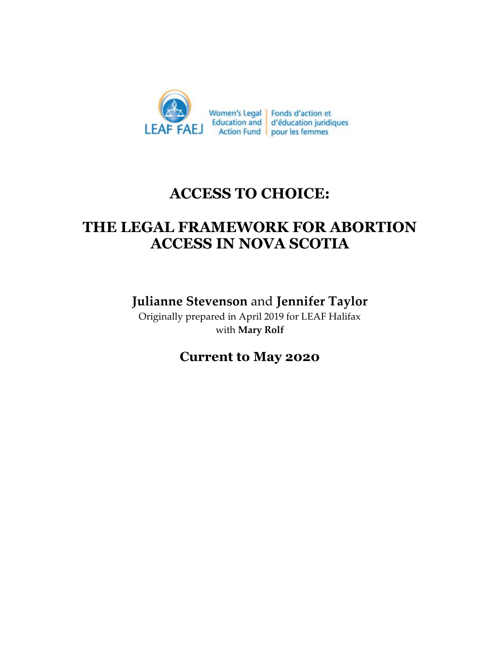

# **ACCESS TO CHOICE:**

# **THE LEGAL FRAMEWORK FOR ABORTION ACCESS IN NOVA SCOTIA**

**Julianne Stevenson** and **Jennifer Taylor**

Originally prepared in April 2019 for LEAF Halifax with **Mary Rolf**

**Current to May 2020**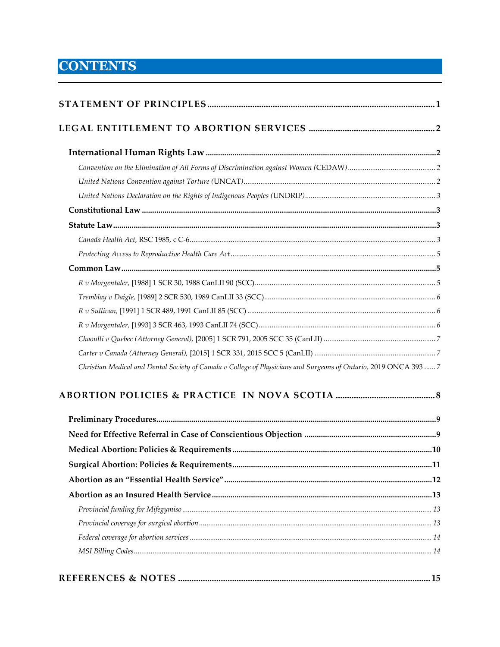# **CONTENTS**

| Christian Medical and Dental Society of Canada v College of Physicians and Surgeons of Ontario, 2019 ONCA 393  7 |  |
|------------------------------------------------------------------------------------------------------------------|--|
|                                                                                                                  |  |
|                                                                                                                  |  |
|                                                                                                                  |  |
|                                                                                                                  |  |
|                                                                                                                  |  |
|                                                                                                                  |  |
|                                                                                                                  |  |
|                                                                                                                  |  |
|                                                                                                                  |  |
|                                                                                                                  |  |
|                                                                                                                  |  |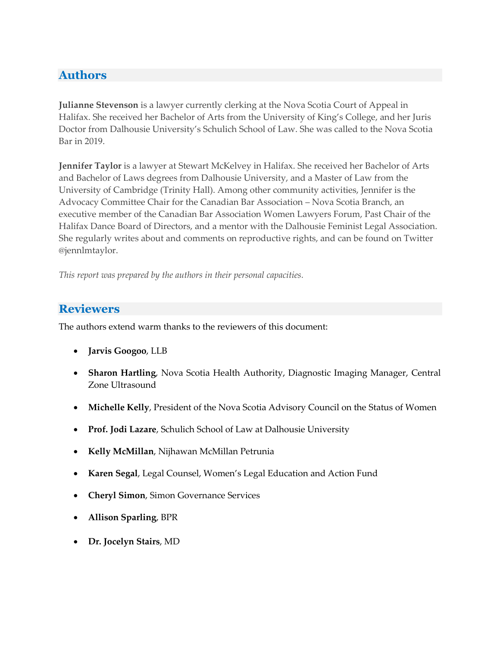## <span id="page-2-0"></span>**Authors**

**Julianne Stevenson** is a lawyer currently clerking at the Nova Scotia Court of Appeal in Halifax. She received her Bachelor of Arts from the University of King's College, and her Juris Doctor from Dalhousie University's Schulich School of Law. She was called to the Nova Scotia Bar in 2019.

**Jennifer Taylor** is a lawyer at Stewart McKelvey in Halifax. She received her Bachelor of Arts and Bachelor of Laws degrees from Dalhousie University, and a Master of Law from the University of Cambridge (Trinity Hall). Among other community activities, Jennifer is the Advocacy Committee Chair for the Canadian Bar Association – Nova Scotia Branch, an executive member of the Canadian Bar Association Women Lawyers Forum, Past Chair of the Halifax Dance Board of Directors, and a mentor with the Dalhousie Feminist Legal Association. She regularly writes about and comments on reproductive rights, and can be found on Twitter @jennlmtaylor.

*This report was prepared by the authors in their personal capacities.* 

### **Reviewers**

The authors extend warm thanks to the reviewers of this document:

- **Jarvis Googoo**, LLB
- **Sharon Hartling**, Nova Scotia Health Authority, Diagnostic Imaging Manager, Central Zone Ultrasound
- **Michelle Kelly**, President of the Nova Scotia Advisory Council on the Status of Women
- **Prof. Jodi Lazare**, Schulich School of Law at Dalhousie University
- **Kelly McMillan**, Nijhawan McMillan Petrunia
- **Karen Segal**, Legal Counsel, Women's Legal Education and Action Fund
- **Cheryl Simon**, Simon Governance Services
- **Allison Sparling**, BPR
- **Dr. Jocelyn Stairs**, MD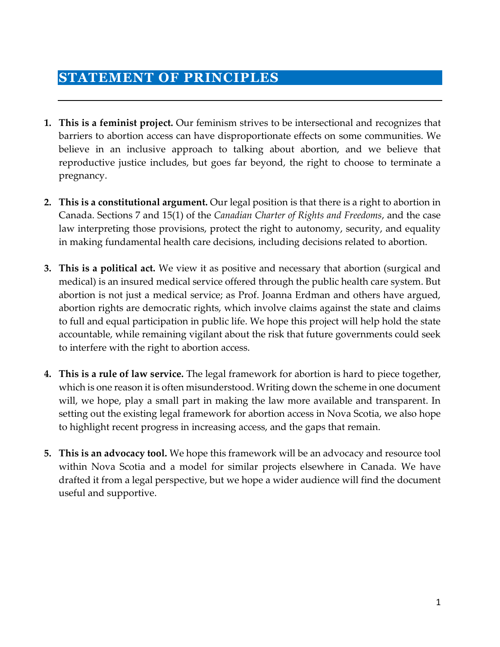## **STATEMENT OF PRINCIPLES**

- **1. This is a feminist project.** Our feminism strives to be intersectional and recognizes that barriers to abortion access can have disproportionate effects on some communities. We believe in an inclusive approach to talking about abortion, and we believe that reproductive justice includes, but goes far beyond, the right to choose to terminate a pregnancy.
- **2. This is a constitutional argument.** Our legal position is that there is a right to abortion in Canada. Sections 7 and 15(1) of the *Canadian Charter of Rights and Freedoms*, and the case law interpreting those provisions, protect the right to autonomy, security, and equality in making fundamental health care decisions, including decisions related to abortion.
- **3. This is a political act.** We view it as positive and necessary that abortion (surgical and medical) is an insured medical service offered through the public health care system. But abortion is not just a medical service; as Prof. Joanna Erdman and others have argued, abortion rights are democratic rights, which involve claims against the state and claims to full and equal participation in public life. We hope this project will help hold the state accountable, while remaining vigilant about the risk that future governments could seek to interfere with the right to abortion access.
- **4. This is a rule of law service.** The legal framework for abortion is hard to piece together, which is one reason it is often misunderstood. Writing down the scheme in one document will, we hope, play a small part in making the law more available and transparent. In setting out the existing legal framework for abortion access in Nova Scotia, we also hope to highlight recent progress in increasing access, and the gaps that remain.
- **5. This is an advocacy tool.** We hope this framework will be an advocacy and resource tool within Nova Scotia and a model for similar projects elsewhere in Canada. We have drafted it from a legal perspective, but we hope a wider audience will find the document useful and supportive.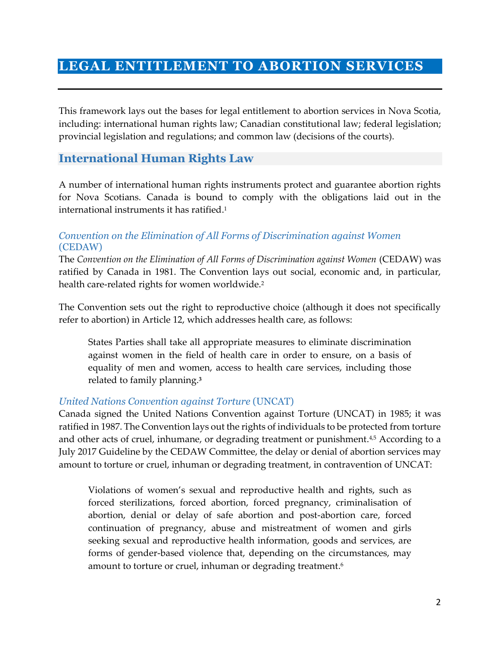## <span id="page-4-0"></span>**LEGAL ENTITLEMENT TO ABORTION SERVICES**

This framework lays out the bases for legal entitlement to abortion services in Nova Scotia, including: international human rights law; Canadian constitutional law; federal legislation; provincial legislation and regulations; and common law (decisions of the courts).

### <span id="page-4-1"></span>**International Human Rights Law**

A number of international human rights instruments protect and guarantee abortion rights for Nova Scotians. Canada is bound to comply with the obligations laid out in the international instruments it has ratified. 1

#### <span id="page-4-2"></span>*Convention on the Elimination of All Forms of Discrimination against Women*  (CEDAW)

The *Convention on the Elimination of All Forms of Discrimination against Women* (CEDAW) was ratified by Canada in 1981. The Convention lays out social, economic and, in particular, health care-related rights for women worldwide.<sup>2</sup>

The Convention sets out the right to reproductive choice (although it does not specifically refer to abortion) in Article 12, which addresses health care, as follows:

States Parties shall take all appropriate measures to eliminate discrimination against women in the field of health care in order to ensure, on a basis of equality of men and women, access to health care services, including those related to family planning.**<sup>3</sup>**

#### <span id="page-4-3"></span>*United Nations Convention against Torture* (UNCAT)

Canada signed the United Nations Convention against Torture (UNCAT) in 1985; it was ratified in 1987. The Convention lays out the rights of individuals to be protected from torture and other acts of cruel, inhumane, or degrading treatment or punishment.<sup>4,5</sup> According to a July 2017 Guideline by the CEDAW Committee, the delay or denial of abortion services may amount to torture or cruel, inhuman or degrading treatment, in contravention of UNCAT:

Violations of women's sexual and reproductive health and rights, such as forced sterilizations, forced abortion, forced pregnancy, criminalisation of abortion, denial or delay of safe abortion and post-abortion care, forced continuation of pregnancy, abuse and mistreatment of women and girls seeking sexual and reproductive health information, goods and services, are forms of gender-based violence that, depending on the circumstances, may amount to torture or cruel, inhuman or degrading treatment. 6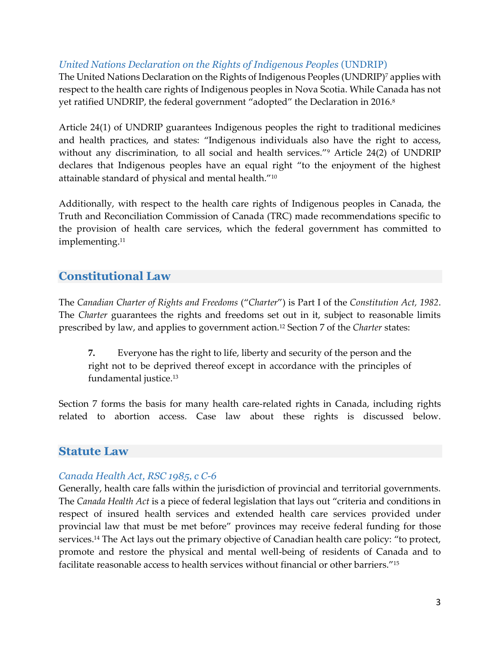#### <span id="page-5-0"></span>*United Nations Declaration on the Rights of Indigenous Peoples* (UNDRIP)

The United Nations Declaration on the Rights of Indigenous Peoples (UNDRIP)<sup>7</sup> applies with respect to the health care rights of Indigenous peoples in Nova Scotia. While Canada has not yet ratified UNDRIP, the federal government "adopted" the Declaration in 2016.<sup>8</sup>

Article 24(1) of UNDRIP guarantees Indigenous peoples the right to traditional medicines and health practices, and states: "Indigenous individuals also have the right to access, without any discrimination, to all social and health services."<sup>9</sup> Article 24(2) of UNDRIP declares that Indigenous peoples have an equal right "to the enjoyment of the highest attainable standard of physical and mental health."<sup>10</sup>

Additionally, with respect to the health care rights of Indigenous peoples in Canada, the Truth and Reconciliation Commission of Canada (TRC) made recommendations specific to the provision of health care services, which the federal government has committed to implementing. 11

### <span id="page-5-1"></span>**Constitutional Law**

The *Canadian Charter of Rights and Freedoms* ("*Charter*") is Part I of the *Constitution Act, 1982*. The *Charter* guarantees the rights and freedoms set out in it, subject to reasonable limits prescribed by law, and applies to government action.<sup>12</sup> Section 7 of the *Charter* states:

**7.** Everyone has the right to life, liberty and security of the person and the right not to be deprived thereof except in accordance with the principles of fundamental justice.<sup>13</sup>

Section 7 forms the basis for many health care-related rights in Canada, including rights related to abortion access. Case law about these rights is discussed below.

#### <span id="page-5-2"></span>**Statute Law**

#### <span id="page-5-3"></span>*Canada Health Act, RSC 1985, c C-6*

Generally, health care falls within the jurisdiction of provincial and territorial governments. The *Canada Health Act* is a piece of federal legislation that lays out "criteria and conditions in respect of insured health services and extended health care services provided under provincial law that must be met before" provinces may receive federal funding for those services. <sup>14</sup> The Act lays out the primary objective of Canadian health care policy: "to protect, promote and restore the physical and mental well-being of residents of Canada and to facilitate reasonable access to health services without financial or other barriers."15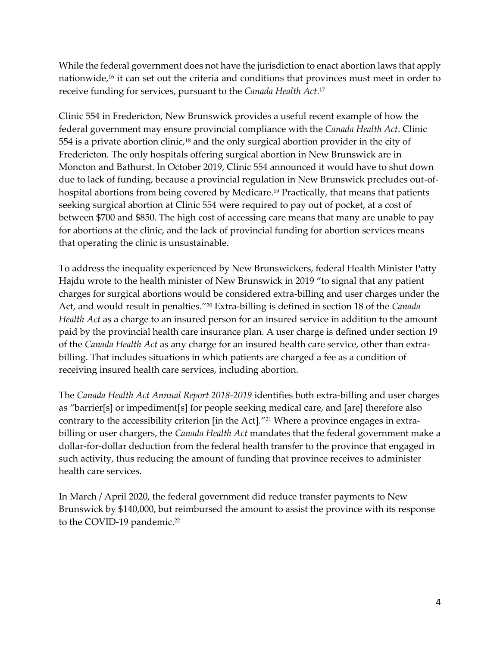While the federal government does not have the jurisdiction to enact abortion laws that apply nationwide,<sup>16</sup> it can set out the criteria and conditions that provinces must meet in order to receive funding for services, pursuant to the *Canada Health Act*. 17

Clinic 554 in Fredericton, New Brunswick provides a useful recent example of how the federal government may ensure provincial compliance with the *Canada Health Act*. Clinic 554 is a private abortion clinic,<sup>18</sup> and the only surgical abortion provider in the city of Fredericton. The only hospitals offering surgical abortion in New Brunswick are in Moncton and Bathurst. In October 2019, Clinic 554 announced it would have to shut down due to lack of funding, because a provincial regulation in New Brunswick precludes out-ofhospital abortions from being covered by Medicare. <sup>19</sup> Practically, that means that patients seeking surgical abortion at Clinic 554 were required to pay out of pocket, at a cost of between \$700 and \$850. The high cost of accessing care means that many are unable to pay for abortions at the clinic, and the lack of provincial funding for abortion services means that operating the clinic is unsustainable.

To address the inequality experienced by New Brunswickers, federal Health Minister Patty Hajdu wrote to the health minister of New Brunswick in 2019 "to signal that any patient charges for surgical abortions would be considered extra-billing and user charges under the Act, and would result in penalties." <sup>20</sup> Extra-billing is defined in section 18 of the *Canada Health Act* as a charge to an insured person for an insured service in addition to the amount paid by the provincial health care insurance plan. A user charge is defined under section 19 of the *Canada Health Act* as any charge for an insured health care service, other than extrabilling. That includes situations in which patients are charged a fee as a condition of receiving insured health care services, including abortion.

The *Canada Health Act Annual Report 2018-2019* identifies both extra-billing and user charges as "barrier[s] or impediment[s] for people seeking medical care, and [are] therefore also contrary to the accessibility criterion [in the Act]." <sup>21</sup> Where a province engages in extrabilling or user chargers, the *Canada Health Act* mandates that the federal government make a dollar-for-dollar deduction from the federal health transfer to the province that engaged in such activity, thus reducing the amount of funding that province receives to administer health care services.

In March / April 2020, the federal government did reduce transfer payments to New Brunswick by \$140,000, but reimbursed the amount to assist the province with its response to the COVID-19 pandemic.<sup>22</sup>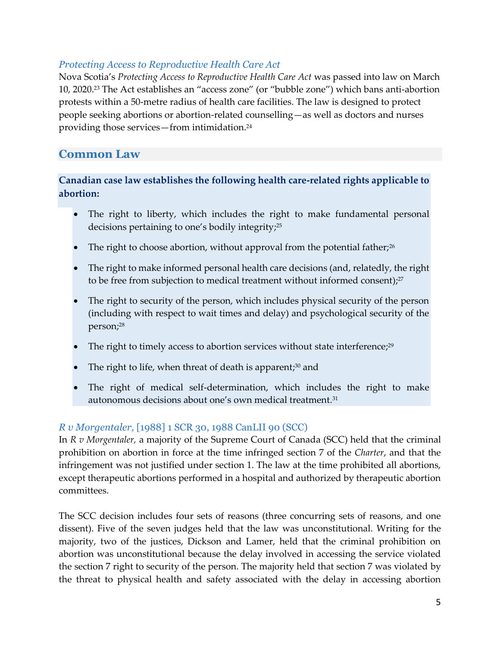#### <span id="page-7-0"></span>*Protecting Access to Reproductive Health Care Act*

Nova Scotia's *Protecting Access to Reproductive Health Care Act* was passed into law on March 10, 2020.<sup>23</sup> The Act establishes an "access zone" (or "bubble zone") which bans anti-abortion protests within a 50-metre radius of health care facilities. The law is designed to protect people seeking abortions or abortion-related counselling—as well as doctors and nurses providing those services—from intimidation.<sup>24</sup>

## <span id="page-7-1"></span>**Common Law**

#### **Canadian case law establishes the following health care-related rights applicable to abortion:**

- The right to liberty, which includes the right to make fundamental personal decisions pertaining to one's bodily integrity; 25
- The right to choose abortion, without approval from the potential father;<sup>26</sup>
- The right to make informed personal health care decisions (and, relatedly, the right to be free from subjection to medical treatment without informed consent);<sup>27</sup>
- The right to security of the person, which includes physical security of the person (including with respect to wait times and delay) and psychological security of the person;<sup>28</sup>
- The right to timely access to abortion services without state interference;<sup>29</sup>
- The right to life, when threat of death is apparent;<sup>30</sup> and
- The right of medical self-determination, which includes the right to make autonomous decisions about one's own medical treatment.<sup>31</sup>

#### <span id="page-7-2"></span>*R v Morgentaler,* [1988] 1 SCR 30, 1988 CanLII 90 (SCC)

In *R v Morgentaler,* a majority of the Supreme Court of Canada (SCC) held that the criminal prohibition on abortion in force at the time infringed section 7 of the *Charter*, and that the infringement was not justified under section 1. The law at the time prohibited all abortions, except therapeutic abortions performed in a hospital and authorized by therapeutic abortion committees.

The SCC decision includes four sets of reasons (three concurring sets of reasons, and one dissent). Five of the seven judges held that the law was unconstitutional. Writing for the majority, two of the justices, Dickson and Lamer, held that the criminal prohibition on abortion was unconstitutional because the delay involved in accessing the service violated the section 7 right to security of the person. The majority held that section 7 was violated by the threat to physical health and safety associated with the delay in accessing abortion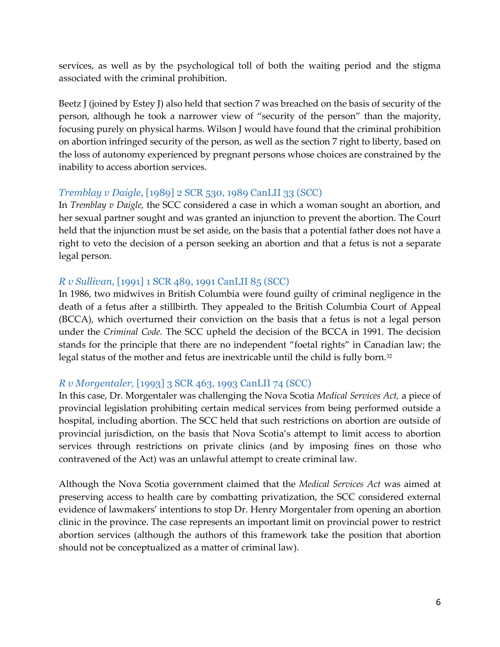services, as well as by the psychological toll of both the waiting period and the stigma associated with the criminal prohibition.

Beetz J (joined by Estey J) also held that section 7 was breached on the basis of security of the person, although he took a narrower view of "security of the person" than the majority, focusing purely on physical harms. Wilson J would have found that the criminal prohibition on abortion infringed security of the person, as well as the section 7 right to liberty, based on the loss of autonomy experienced by pregnant persons whose choices are constrained by the inability to access abortion services.

#### <span id="page-8-0"></span>*Tremblay v Daigle,* [1989] 2 SCR 530, 1989 CanLII 33 (SCC)

In *Tremblay v Daigle,* the SCC considered a case in which a woman sought an abortion, and her sexual partner sought and was granted an injunction to prevent the abortion. The Court held that the injunction must be set aside, on the basis that a potential father does not have a right to veto the decision of a person seeking an abortion and that a fetus is not a separate legal person.

#### <span id="page-8-1"></span>*R v Sullivan,* [1991] 1 SCR 489, 1991 CanLII 85 (SCC)

In 1986, two midwives in British Columbia were found guilty of criminal negligence in the death of a fetus after a stillbirth. They appealed to the British Columbia Court of Appeal (BCCA), which overturned their conviction on the basis that a fetus is not a legal person under the *Criminal Code.* The SCC upheld the decision of the BCCA in 1991. The decision stands for the principle that there are no independent "foetal rights" in Canadian law; the legal status of the mother and fetus are inextricable until the child is fully born.<sup>32</sup>

#### <span id="page-8-2"></span>*R v Morgentaler,* [1993] 3 SCR 463, 1993 CanLII 74 (SCC)

In this case, Dr. Morgentaler was challenging the Nova Scotia *Medical Services Act,* a piece of provincial legislation prohibiting certain medical services from being performed outside a hospital, including abortion. The SCC held that such restrictions on abortion are outside of provincial jurisdiction, on the basis that Nova Scotia's attempt to limit access to abortion services through restrictions on private clinics (and by imposing fines on those who contravened of the Act) was an unlawful attempt to create criminal law.

Although the Nova Scotia government claimed that the *Medical Services Act* was aimed at preserving access to health care by combatting privatization, the SCC considered external evidence of lawmakers' intentions to stop Dr. Henry Morgentaler from opening an abortion clinic in the province. The case represents an important limit on provincial power to restrict abortion services (although the authors of this framework take the position that abortion should not be conceptualized as a matter of criminal law).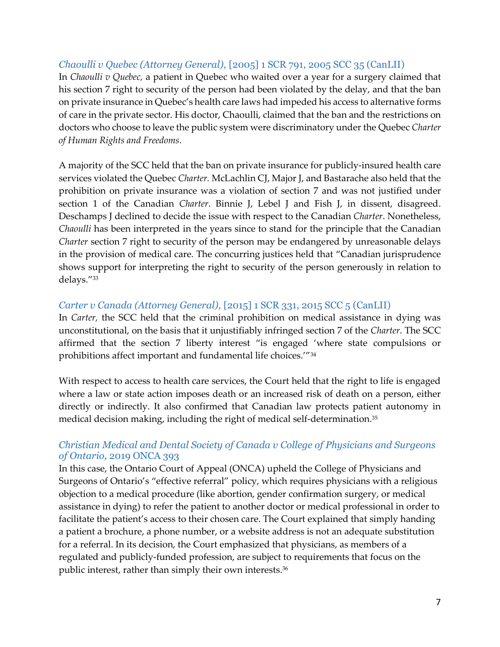<span id="page-9-0"></span>*Chaoulli v Quebec (Attorney General),* [2005] 1 SCR 791, 2005 SCC 35 (CanLII) In *Chaoulli v Quebec,* a patient in Quebec who waited over a year for a surgery claimed that his section 7 right to security of the person had been violated by the delay, and that the ban on private insurance in Quebec's health care laws had impeded his access to alternative forms of care in the private sector. His doctor, Chaoulli, claimed that the ban and the restrictions on doctors who choose to leave the public system were discriminatory under the Quebec *Charter of Human Rights and Freedoms*.

A majority of the SCC held that the ban on private insurance for publicly-insured health care services violated the Quebec *Charter.* McLachlin CJ, Major J, and Bastarache also held that the prohibition on private insurance was a violation of section 7 and was not justified under section 1 of the Canadian *Charter*. Binnie J, Lebel J and Fish J, in dissent, disagreed. Deschamps J declined to decide the issue with respect to the Canadian *Charter*. Nonetheless, *Chaoulli* has been interpreted in the years since to stand for the principle that the Canadian *Charter* section 7 right to security of the person may be endangered by unreasonable delays in the provision of medical care. The concurring justices held that "Canadian jurisprudence shows support for interpreting the right to security of the person generously in relation to delays."<sup>33</sup>

#### <span id="page-9-1"></span>*Carter v Canada (Attorney General),* [2015] 1 SCR 331, 2015 SCC 5 (CanLII)

In *Carter,* the SCC held that the criminal prohibition on medical assistance in dying was unconstitutional, on the basis that it unjustifiably infringed section 7 of the *Charter*. The SCC affirmed that the section 7 liberty interest "is engaged 'where state compulsions or prohibitions affect important and fundamental life choices.'"<sup>34</sup>

With respect to access to health care services, the Court held that the right to life is engaged where a law or state action imposes death or an increased risk of death on a person, either directly or indirectly. It also confirmed that Canadian law protects patient autonomy in medical decision making, including the right of medical self-determination.<sup>35</sup>

#### <span id="page-9-2"></span>*Christian Medical and Dental Society of Canada v College of Physicians and Surgeons of Ontario,* 2019 ONCA 393

In this case, the Ontario Court of Appeal (ONCA) upheld the College of Physicians and Surgeons of Ontario's "effective referral" policy, which requires physicians with a religious objection to a medical procedure (like abortion, gender confirmation surgery, or medical assistance in dying) to refer the patient to another doctor or medical professional in order to facilitate the patient's access to their chosen care. The Court explained that simply handing a patient a brochure, a phone number, or a website address is not an adequate substitution for a referral. In its decision, the Court emphasized that physicians, as members of a regulated and publicly-funded profession, are subject to requirements that focus on the public interest, rather than simply their own interests.<sup>36</sup>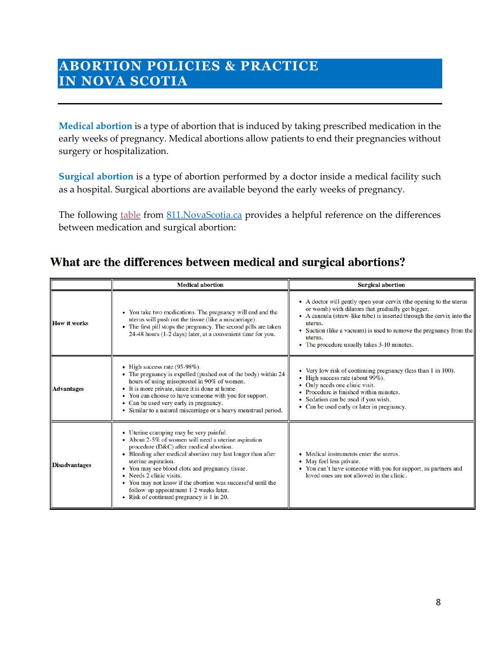## <span id="page-10-0"></span>**ABORTION POLICIES & PRACTICE IN NOVA SCOTIA**

**Medical abortion** is a type of abortion that is induced by taking prescribed medication in the early weeks of pregnancy. Medical abortions allow patients to end their pregnancies without surgery or hospitalization.

**Surgical abortion** is a type of abortion performed by a doctor inside a medical facility such as a hospital. Surgical abortions are available beyond the early weeks of pregnancy.

The following [table](https://811.novascotia.ca/health_topics/medical-abortion/) from 811. NovaScotia.ca provides a helpful reference on the differences between medication and surgical abortion:

## What are the differences between medical and surgical abortions?

|                      | <b>Medical abortion</b>                                                                                                                                                                                                                                                                                                                                                                                                                                                | <b>Surgical abortion</b>                                                                                                                                                                                                                                                                                                                  |
|----------------------|------------------------------------------------------------------------------------------------------------------------------------------------------------------------------------------------------------------------------------------------------------------------------------------------------------------------------------------------------------------------------------------------------------------------------------------------------------------------|-------------------------------------------------------------------------------------------------------------------------------------------------------------------------------------------------------------------------------------------------------------------------------------------------------------------------------------------|
| <b>How it works</b>  | • You take two medications. The pregnancy will end and the<br>uterus will push out the tissue (like a miscarriage).<br>• The first pill stops the pregnancy. The second pills are taken<br>24-48 hours (1-2 days) later, at a convenient time for you.                                                                                                                                                                                                                 | • A doctor will gently open your cervix (the opening to the uterus<br>or womb) with dilators that gradually get bigger.<br>• A cannula (straw-like tube) is inserted through the cervix into the<br>uterus.<br>Suction (like a vacuum) is used to remove the pregnancy from the<br>uterus.<br>• The procedure usually takes 3-10 minutes. |
| <b>Advantages</b>    | • High success rate $(95-98\%)$ .<br>• The pregnancy is expelled (pushed out of the body) within 24<br>hours of using misoprostol in 90% of women.<br>• It is more private, since it is done at home.<br>• You can choose to have someone with you for support.<br>• Can be used very early in pregnancy.<br>• Similar to a natural miscarriage or a heavy menstrual period.                                                                                           | • Very low risk of continuing pregnancy (less than 1 in 100).<br>• High success rate (about 99%).<br>Only needs one clinic visit.<br>• Procedure is finished within minutes.<br>Sedation can be used if you wish.<br>• Can be used early or later in pregnancy.                                                                           |
| <b>Disadvantages</b> | • Uterine cramping may be very painful.<br>• About 2-5% of women will need a uterine aspiration<br>procedure (D&C) after medical abortion.<br>• Bleeding after medical abortion may last longer than after<br>uterine aspiration.<br>• You may see blood clots and pregnancy tissue.<br>• Needs 2 clinic visits.<br>• You may not know if the abortion was successful until the<br>follow-up appointment 1-2 weeks later.<br>• Risk of continued pregnancy is 1 in 20. | • Medical instruments enter the uterus.<br>• May feel less private.<br>• You can't have someone with you for support, as partners and<br>loved ones are not allowed in the clinic.                                                                                                                                                        |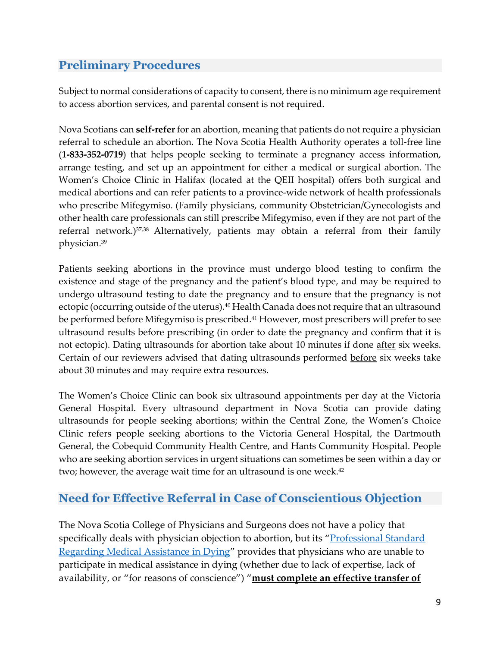## <span id="page-11-0"></span>**Preliminary Procedures**

Subject to normal considerations of capacity to consent, there is no minimum age requirement to access abortion services, and parental consent is not required.

Nova Scotians can **self-refer** for an abortion, meaning that patients do not require a physician referral to schedule an abortion. The Nova Scotia Health Authority operates a toll-free line (**1-833-352-0719**) that helps people seeking to terminate a pregnancy access information, arrange testing, and set up an appointment for either a medical or surgical abortion. The Women's Choice Clinic in Halifax (located at the QEII hospital) offers both surgical and medical abortions and can refer patients to a province-wide network of health professionals who prescribe Mifegymiso. (Family physicians, community Obstetrician/Gynecologists and other health care professionals can still prescribe Mifegymiso, even if they are not part of the referral network.)37,38 Alternatively, patients may obtain a referral from their family physician.<sup>39</sup>

Patients seeking abortions in the province must undergo blood testing to confirm the existence and stage of the pregnancy and the patient's blood type, and may be required to undergo ultrasound testing to date the pregnancy and to ensure that the pregnancy is not ectopic (occurring outside of the uterus). <sup>40</sup> Health Canada does not require that an ultrasound be performed before Mifegymiso is prescribed.<sup>41</sup> However, most prescribers will prefer to see ultrasound results before prescribing (in order to date the pregnancy and confirm that it is not ectopic). Dating ultrasounds for abortion take about 10 minutes if done after six weeks. Certain of our reviewers advised that dating ultrasounds performed before six weeks take about 30 minutes and may require extra resources.

The Women's Choice Clinic can book six ultrasound appointments per day at the Victoria General Hospital. Every ultrasound department in Nova Scotia can provide dating ultrasounds for people seeking abortions; within the Central Zone, the Women's Choice Clinic refers people seeking abortions to the Victoria General Hospital, the Dartmouth General, the Cobequid Community Health Centre, and Hants Community Hospital. People who are seeking abortion services in urgent situations can sometimes be seen within a day or two; however, the average wait time for an ultrasound is one week. 42

### <span id="page-11-1"></span>**Need for Effective Referral in Case of Conscientious Objection**

The Nova Scotia College of Physicians and Surgeons does not have a policy that specifically deals with physician objection to abortion, but its "Professional Standard [Regarding Medical Assistance in Dying](https://cpsns.ns.ca/wp-content/uploads/2016/06/Medical-Assistance-in-Dying-Standard.pdf)" provides that physicians who are unable to participate in medical assistance in dying (whether due to lack of expertise, lack of availability, or "for reasons of conscience") "**must complete an effective transfer of**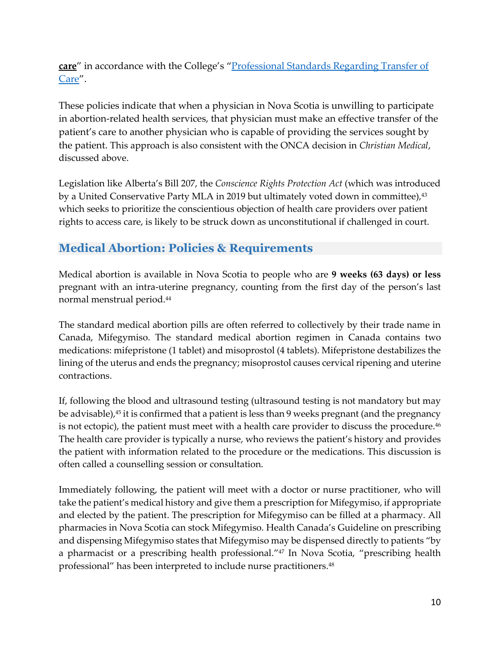**care**" in accordance with the College's "[Professional Standards Regarding Transfer of](https://cpsns.ns.ca/wp-content/uploads/2017/10/Transfer-of-Care.pdf)  [Care](https://cpsns.ns.ca/wp-content/uploads/2017/10/Transfer-of-Care.pdf)".

These policies indicate that when a physician in Nova Scotia is unwilling to participate in abortion-related health services, that physician must make an effective transfer of the patient's care to another physician who is capable of providing the services sought by the patient. This approach is also consistent with the ONCA decision in *Christian Medical*, discussed above.

Legislation like Alberta's Bill 207, the *Conscience Rights Protection Act* (which was introduced by a United Conservative Party MLA in 2019 but ultimately voted down in committee),<sup>43</sup> which seeks to prioritize the conscientious objection of health care providers over patient rights to access care, is likely to be struck down as unconstitutional if challenged in court.

## <span id="page-12-0"></span>**Medical Abortion: Policies & Requirements**

Medical abortion is available in Nova Scotia to people who are **9 weeks (63 days) or less** pregnant with an intra-uterine pregnancy, counting from the first day of the person's last normal menstrual period.<sup>44</sup>

The standard medical abortion pills are often referred to collectively by their trade name in Canada, Mifegymiso. The standard medical abortion regimen in Canada contains two medications: mifepristone (1 tablet) and misoprostol (4 tablets). Mifepristone destabilizes the lining of the uterus and ends the pregnancy; misoprostol causes cervical ripening and uterine contractions.

If, following the blood and ultrasound testing (ultrasound testing is not mandatory but may be advisable), <sup>45</sup> it is confirmed that a patient is less than 9 weeks pregnant (and the pregnancy is not ectopic), the patient must meet with a health care provider to discuss the procedure.<sup>46</sup> The health care provider is typically a nurse, who reviews the patient's history and provides the patient with information related to the procedure or the medications. This discussion is often called a counselling session or consultation.

Immediately following, the patient will meet with a doctor or nurse practitioner, who will take the patient's medical history and give them a prescription for Mifegymiso, if appropriate and elected by the patient. The prescription for Mifegymiso can be filled at a pharmacy. All pharmacies in Nova Scotia can stock Mifegymiso. Health Canada's [Guideline on prescribing](http://www.healthycanadians.gc.ca/recall-alert-rappel-avis/hc-sc/2017/65034a-eng.php)  [and dispensing Mifegymiso](http://www.healthycanadians.gc.ca/recall-alert-rappel-avis/hc-sc/2017/65034a-eng.php) states that Mifegymiso may be dispensed directly to patients "by a pharmacist or a prescribing health professional."<sup>47</sup> In Nova Scotia, "prescribing health professional" has been interpreted to include nurse practitioners.<sup>48</sup>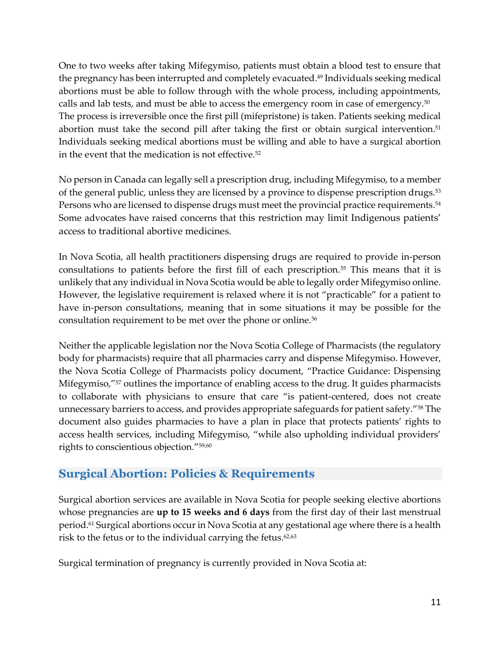One to two weeks after taking Mifegymiso, patients must obtain a blood test to ensure that the pregnancy has been interrupted and completely evacuated. <sup>49</sup> Individuals seeking medical abortions must be able to follow through with the whole process, including appointments, calls and lab tests, and must be able to access the emergency room in case of emergency.<sup>50</sup> The process is irreversible once the first pill (mifepristone) is taken. Patients seeking medical abortion must take the second pill after taking the first or obtain surgical intervention. 51 Individuals seeking medical abortions must be willing and able to have a surgical abortion in the event that the medication is not effective. 52

No person in Canada can legally sell a prescription drug, including Mifegymiso, to a member of the general public, unless they are licensed by a province to dispense prescription drugs.<sup>53</sup> Persons who are licensed to dispense drugs must meet the provincial practice requirements.<sup>54</sup> Some advocates have raised concerns that this restriction may limit Indigenous patients' access to traditional abortive medicines.

In Nova Scotia, all health practitioners dispensing drugs are required to provide in-person consultations to patients before the first fill of each prescription.<sup>55</sup> This means that it is unlikely that any individual in Nova Scotia would be able to legally order Mifegymiso online. However, the legislative requirement is relaxed where it is not "practicable" for a patient to have in-person consultations, meaning that in some situations it may be possible for the consultation requirement to be met over the phone or online.<sup>56</sup>

Neither the applicable legislation nor the Nova Scotia College of Pharmacists (the regulatory body for pharmacists) require that all pharmacies carry and dispense Mifegymiso. However, the Nova Scotia College of Pharmacists policy document, "Practice Guidance: Dispensing Mifegymiso,"<sup>57</sup> outlines the importance of enabling access to the drug. It guides pharmacists to collaborate with physicians to ensure that care "is patient-centered, does not create unnecessary barriers to access, and provides appropriate safeguards for patient safety."<sup>58</sup> The document also guides pharmacies to have a plan in place that protects patients' rights to access health services, including Mifegymiso, "while also upholding individual providers' rights to conscientious objection."59,60

### <span id="page-13-0"></span>**Surgical Abortion: Policies & Requirements**

Surgical abortion services are available in Nova Scotia for people seeking elective abortions whose pregnancies are **up to 15 weeks and 6 days** from the first day of their last menstrual period.<sup>61</sup> Surgical abortions occur in Nova Scotia at any gestational age where there is a health risk to the fetus or to the individual carrying the fetus. 62,63

Surgical termination of pregnancy is currently provided in Nova Scotia at: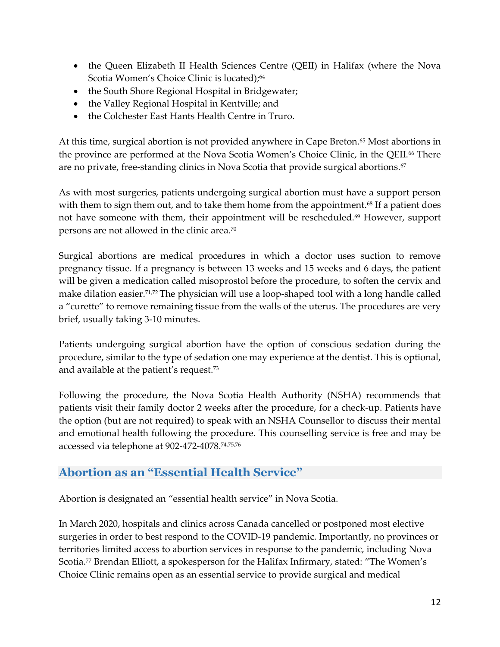- the Queen Elizabeth II Health Sciences Centre (QEII) in Halifax (where the Nova Scotia Women's Choice Clinic is located);<sup>64</sup>
- the South Shore Regional Hospital in Bridgewater;
- the Valley Regional Hospital in Kentville; and
- the Colchester East Hants Health Centre in Truro.

At this time, surgical abortion is not provided anywhere in Cape Breton.<sup>65</sup> Most abortions in the province are performed at the Nova Scotia Women's Choice Clinic, in the QEII.<sup>66</sup> There are no private, free-standing clinics in Nova Scotia that provide surgical abortions.<sup>67</sup>

As with most surgeries, patients undergoing surgical abortion must have a support person with them to sign them out, and to take them home from the appointment.<sup>68</sup> If a patient does not have someone with them, their appointment will be rescheduled.<sup>69</sup> However, support persons are not allowed in the clinic area.<sup>70</sup>

Surgical abortions are medical procedures in which a doctor uses suction to remove pregnancy tissue. If a pregnancy is between 13 weeks and 15 weeks and 6 days, the patient will be given a medication called misoprostol before the procedure, to soften the cervix and make dilation easier.<sup>71,72</sup> The physician will use a loop-shaped tool with a long handle called a "curette" to remove remaining tissue from the walls of the uterus. The procedures are very brief, usually taking 3-10 minutes.

Patients undergoing surgical abortion have the option of conscious sedation during the procedure, similar to the type of sedation one may experience at the dentist. This is optional, and available at the patient's request.<sup>73</sup>

Following the procedure, the Nova Scotia Health Authority (NSHA) recommends that patients visit their family doctor 2 weeks after the procedure, for a check-up. Patients have the option (but are not required) to speak with an NSHA Counsellor to discuss their mental and emotional health following the procedure. This counselling service is free and may be accessed via telephone at 902-472-4078.74,75,76

### <span id="page-14-0"></span>**Abortion as an "Essential Health Service"**

Abortion is designated an "essential health service" in Nova Scotia.

In March 2020, hospitals and clinics across Canada cancelled or postponed most elective surgeries in order to best respond to the COVID-19 pandemic. Importantly, <u>no</u> provinces or territories limited access to abortion services in response to the pandemic, including Nova Scotia.<sup>77</sup> Brendan Elliott, a spokesperson for the Halifax Infirmary, stated: "The Women's Choice Clinic remains open as an essential service to provide surgical and medical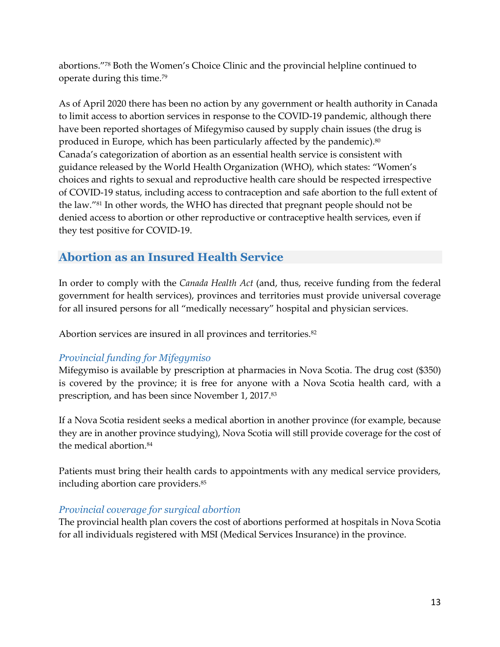abortions."<sup>78</sup> Both the Women's Choice Clinic and the provincial helpline continued to operate during this time.<sup>79</sup>

As of April 2020 there has been no action by any government or health authority in Canada to limit access to abortion services in response to the COVID-19 pandemic, although there have been reported shortages of Mifegymiso caused by supply chain issues (the drug is produced in Europe, which has been particularly affected by the pandemic). $^{\text{80}}$ Canada's categorization of abortion as an essential health service is consistent with guidance released by the World Health Organization (WHO), which states: "Women's choices and rights to sexual and reproductive health care should be respected irrespective of COVID-19 status, including access to contraception and safe abortion to the full extent of the law."<sup>81</sup> In other words, the WHO has directed that pregnant people should not be denied access to abortion or other reproductive or contraceptive health services, even if they test positive for COVID-19.

## <span id="page-15-0"></span>**Abortion as an Insured Health Service**

In order to comply with the *Canada Health Act* (and, thus, receive funding from the federal government for health services), provinces and territories must provide universal coverage for all insured persons for all "medically necessary" hospital and physician services.

Abortion services are insured in all provinces and territories.<sup>82</sup>

#### <span id="page-15-1"></span>*Provincial funding for Mifegymiso*

Mifegymiso is available by prescription at pharmacies in Nova Scotia. The drug cost (\$350) is covered by the province; it is free for anyone with a Nova Scotia health card, with a prescription, and has been since November 1, 2017. 83

If a Nova Scotia resident seeks a medical abortion in another province (for example, because they are in another province studying), Nova Scotia will still provide coverage for the cost of the medical abortion.<sup>84</sup>

Patients must bring their health cards to appointments with any medical service providers, including abortion care providers.<sup>85</sup>

#### <span id="page-15-2"></span>*Provincial coverage for surgical abortion*

The provincial health plan covers the cost of abortions performed at hospitals in Nova Scotia for all individuals registered with MSI (Medical Services Insurance) in the province.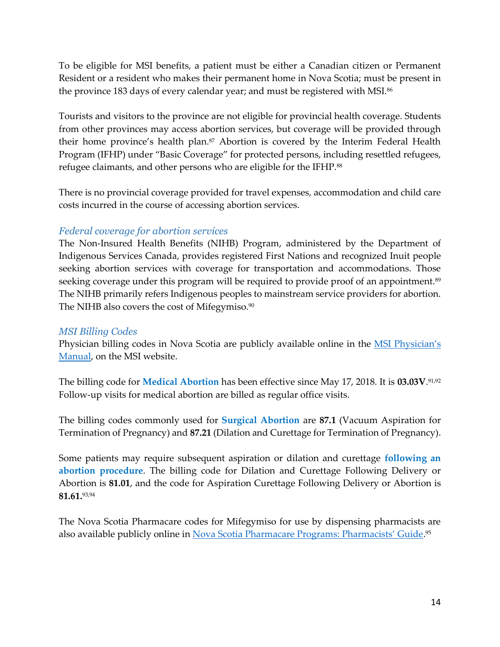To be eligible for MSI benefits, a patient must be either a Canadian citizen or Permanent Resident or a resident who makes their permanent home in Nova Scotia; must be present in the province 183 days of every calendar year; and must be registered with MSI.<sup>86</sup>

Tourists and visitors to the province are not eligible for provincial health coverage. Students from other provinces may access abortion services, but coverage will be provided through their home province's health plan.<sup>87</sup> Abortion is covered by the Interim Federal Health Program (IFHP) under "Basic Coverage" for protected persons, including resettled refugees, refugee claimants, and other persons who are eligible for the IFHP.<sup>88</sup>

There is no provincial coverage provided for travel expenses, accommodation and child care costs incurred in the course of accessing abortion services.

#### <span id="page-16-0"></span>*Federal coverage for abortion services*

The Non-Insured Health Benefits (NIHB) Program, administered by the Department of Indigenous Services Canada, provides registered First Nations and recognized Inuit people seeking abortion services with coverage for transportation and accommodations. Those seeking coverage under this program will be required to provide proof of an appointment.<sup>89</sup> The NIHB primarily refers Indigenous peoples to mainstream service providers for abortion. The NIHB also covers the cost of Mifegymiso. $\rm ^{90}$ 

#### <span id="page-16-1"></span>*MSI Billing Codes*

Physician billing codes in Nova Scotia are publicly available online in the MSI Physician's [Manual,](http://msi.medavie.bluecross.ca/wp-content/uploads/sites/3/2015/07/PhysicianManual.pdf) on the MSI website.

The billing code for **Medical Abortion** has been effective since May 17, 2018. It is **03.03V**. 91,92 Follow-up visits for medical abortion are billed as regular office visits.

The billing codes commonly used for **Surgical Abortion** are **87.1** (Vacuum Aspiration for Termination of Pregnancy) and **87.21** (Dilation and Curettage for Termination of Pregnancy).

Some patients may require subsequent aspiration or dilation and curettage **following an abortion procedure**. The billing code for Dilation and Curettage Following Delivery or Abortion is **81.01**, and the code for Aspiration Curettage Following Delivery or Abortion is **81.61.**93,94

The Nova Scotia Pharmacare codes for Mifegymiso for use by dispensing pharmacists are also available publicly online in <u>Nova Scotia [Pharmacare Programs: Pharmacists' Guide](https://novascotia.ca/dhw/pharmacare/documents/Pharmacare-Pharmacists-Guide.pdf)</u>.<sup>95</sup>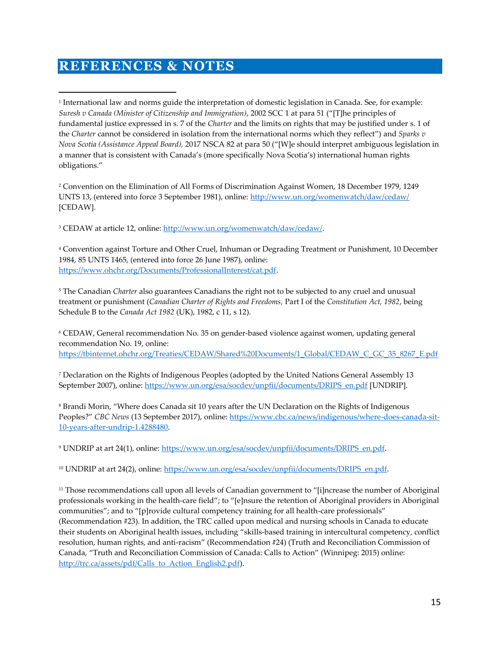## <span id="page-17-0"></span>**REFERENCES & NOTES**

 $\overline{a}$ 

1 International law and norms guide the interpretation of domestic legislation in Canada. See, for example: *Suresh v Canada (Minister of Citizenship and Immigration)*, 2002 SCC 1 at para 51 ("[T]he principles of fundamental justice expressed in s. 7 of the *Charter* and the limits on rights that may be justified under s. 1 of the *Charter* cannot be considered in isolation from the international norms which they reflect") and *Sparks v Nova Scotia (Assistance Appeal Board),* 2017 NSCA 82 at para 50 ("[W]e should interpret ambiguous legislation in a manner that is consistent with Canada's (more specifically Nova Scotia's) international human rights obligations."

<sup>2</sup> Convention on the Elimination of All Forms of Discrimination Against Women, 18 December 1979, 1249 UNTS 13, (entered into force 3 September 1981), online[: http://www.un.org/womenwatch/daw/cedaw/](http://www.un.org/womenwatch/daw/cedaw/) [CEDAW].

<sup>3</sup> CEDAW at article 12, online: [http://www.un.org/womenwatch/daw/cedaw/.](http://www.un.org/womenwatch/daw/cedaw/)

<sup>4</sup> Convention against Torture and Other Cruel, Inhuman or Degrading Treatment or Punishment, 10 December 1984, 85 UNTS 1465, (entered into force 26 June 1987), online: [https://www.ohchr.org/Documents/ProfessionalInterest/cat.pdf.](https://www.ohchr.org/Documents/ProfessionalInterest/cat.pdf) 

<sup>5</sup> The Canadian *Charter* also guarantees Canadians the right not to be subjected to any cruel and unusual treatment or punishment (*Canadian Charter of Rights and Freedoms,* Part I of the *Constitution Act, 1982*, being Schedule B to the *Canada Act 1982* (UK), 1982, c 11, s 12).

<sup>6</sup> CEDAW, General recommendation No. 35 on gender-based violence against women, updating general recommendation No. 19, online: [https://tbinternet.ohchr.org/Treaties/CEDAW/Shared%20Documents/1\\_Global/CEDAW\\_C\\_GC\\_35\\_8267\\_E.pdf](https://tbinternet.ohchr.org/Treaties/CEDAW/Shared%20Documents/1_Global/CEDAW_C_GC_35_8267_E.pdf)

<sup>7</sup> Declaration on the Rights of Indigenous Peoples (adopted by the United Nations General Assembly 13 September 2007), online: [https://www.un.org/esa/socdev/unpfii/documents/DRIPS\\_en.pdf](https://www.un.org/esa/socdev/unpfii/documents/DRIPS_en.pdf) [UNDRIP].

<sup>8</sup> Brandi Morin, "Where does Canada sit 10 years after the UN Declaration on the Rights of Indigenous Peoples?" *CBC News* (13 September 2017), online: [https://www.cbc.ca/news/indigenous/where-does-canada-sit-](https://www.cbc.ca/news/indigenous/where-does-canada-sit-10-years-after-undrip-1.4288480)[10-years-after-undrip-1.4288480.](https://www.cbc.ca/news/indigenous/where-does-canada-sit-10-years-after-undrip-1.4288480)

<sup>9</sup> UNDRIP at art 24(1), online: [https://www.un.org/esa/socdev/unpfii/documents/DRIPS\\_en.pdf.](https://www.un.org/esa/socdev/unpfii/documents/DRIPS_en.pdf) 

<sup>10</sup> UNDRIP at art 24(2), online: [https://www.un.org/esa/socdev/unpfii/documents/DRIPS\\_en.pdf.](https://www.un.org/esa/socdev/unpfii/documents/DRIPS_en.pdf)

<sup>11</sup> Those recommendations call upon all levels of Canadian government to "[i]ncrease the number of Aboriginal professionals working in the health-care field"; to "[e]nsure the retention of Aboriginal providers in Aboriginal communities"; and to "[p]rovide cultural competency training for all health-care professionals" (Recommendation #23). In addition, the TRC called upon medical and nursing schools in Canada to educate their students on Aboriginal health issues, including "skills-based training in intercultural competency, conflict resolution, human rights, and anti-racism" (Recommendation #24) (Truth and Reconciliation Commission of Canada, "Truth and Reconciliation Commission of Canada: Calls to Action" (Winnipeg: 2015) online: [http://trc.ca/assets/pdf/Calls\\_to\\_Action\\_English2.pdf\)](http://trc.ca/assets/pdf/Calls_to_Action_English2.pdf).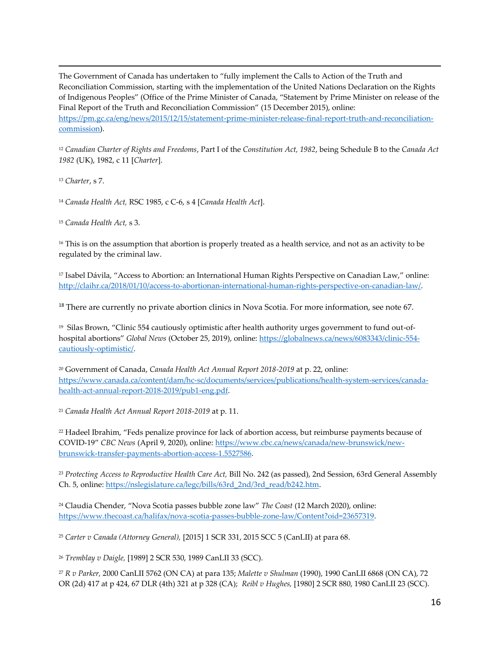The Government of Canada has undertaken to "fully implement the Calls to Action of the Truth and Reconciliation Commission, starting with the implementation of the United Nations Declaration on the Rights of Indigenous Peoples" (Office of the Prime Minister of Canada, "Statement by Prime Minister on release of the Final Report of the Truth and Reconciliation Commission" (15 December 2015), online: [https://pm.gc.ca/eng/news/2015/12/15/statement-prime-minister-release-final-report-truth-and-reconciliation](https://pm.gc.ca/eng/news/2015/12/15/statement-prime-minister-release-final-report-truth-and-reconciliation-commission)[commission\)](https://pm.gc.ca/eng/news/2015/12/15/statement-prime-minister-release-final-report-truth-and-reconciliation-commission).

<sup>12</sup> *Canadian Charter of Rights and Freedoms*, Part I of the *Constitution Act, 1982*, being Schedule B to the *Canada Act 1982* (UK), 1982, c 11 [*Charter*].

<sup>13</sup> *Charter*, s 7.

 $\overline{a}$ 

<sup>14</sup> *Canada Health Act,* RSC 1985, c C-6, s 4 [*Canada Health Act*].

<sup>15</sup> *Canada Health Act,* s 3.

<sup>16</sup> This is on the assumption that abortion is properly treated as a health service, and not as an activity to be regulated by the criminal law.

<sup>17</sup> Isabel Dávila, "Access to Abortion: an International Human Rights Perspective on Canadian Law," online: [http://claihr.ca/2018/01/10/access-to-abortionan-international-human-rights-perspective-on-canadian-law/.](http://claihr.ca/2018/01/10/access-to-abortionan-international-human-rights-perspective-on-canadian-law/)

<sup>18</sup> There are currently no private abortion clinics in Nova Scotia. For more information, see note 67.

19 Silas Brown, "Clinic 554 cautiously optimistic after health authority urges government to fund out-ofhospital abortions" *Global News* (October 25, 2019), online[: https://globalnews.ca/news/6083343/clinic-554](https://globalnews.ca/news/6083343/clinic-554-cautiously-optimistic/) [cautiously-optimistic/.](https://globalnews.ca/news/6083343/clinic-554-cautiously-optimistic/)

<sup>20</sup> Government of Canada, *Canada Health Act Annual Report 2018-2019* at p. 22, online: [https://www.canada.ca/content/dam/hc-sc/documents/services/publications/health-system-services/canada](https://www.canada.ca/content/dam/hc-sc/documents/services/publications/health-system-services/canada-health-act-annual-report-2018-2019/pub1-eng.pdf)[health-act-annual-report-2018-2019/pub1-eng.pdf.](https://www.canada.ca/content/dam/hc-sc/documents/services/publications/health-system-services/canada-health-act-annual-report-2018-2019/pub1-eng.pdf)

<sup>21</sup> *Canada Health Act Annual Report 2018-2019* at p. 11.

<sup>22</sup> Hadeel Ibrahim, "Feds penalize province for lack of abortion access, but reimburse payments because of COVID-19" *CBC News* (April 9, 2020), online[: https://www.cbc.ca/news/canada/new-brunswick/new](https://www.cbc.ca/news/canada/new-brunswick/new-brunswick-transfer-payments-abortion-access-1.5527586)[brunswick-transfer-payments-abortion-access-1.5527586.](https://www.cbc.ca/news/canada/new-brunswick/new-brunswick-transfer-payments-abortion-access-1.5527586)

<sup>23</sup> *Protecting Access to Reproductive Health Care Act,* Bill No. 242 (as passed), 2nd Session, 63rd General Assembly Ch. 5, online[: https://nslegislature.ca/legc/bills/63rd\\_2nd/3rd\\_read/b242.htm.](https://nslegislature.ca/legc/bills/63rd_2nd/3rd_read/b242.htm)

<sup>24</sup> Claudia Chender, "Nova Scotia passes bubble zone law" *The Coast* (12 March 2020), online: [https://www.thecoast.ca/halifax/nova-scotia-passes-bubble-zone-law/Content?oid=23657319.](https://www.thecoast.ca/halifax/nova-scotia-passes-bubble-zone-law/Content?oid=23657319)

<sup>25</sup> *Carter v Canada (Attorney General),* [2015] 1 SCR 331, 2015 SCC 5 (CanLII) at para 68.

<sup>26</sup> *Tremblay v Daigle,* [1989] 2 SCR 530, 1989 CanLII 33 (SCC).

<sup>27</sup> *R v Parker,* 2000 CanLII 5762 (ON CA) at para 135; *Malette v Shulman* (1990), 1990 CanLII 6868 (ON CA), 72 OR (2d) 417 at p 424, 67 DLR (4th) 321 at p 328 (CA); *Reibl v Hughes,* [1980] 2 SCR 880, 1980 CanLII 23 (SCC).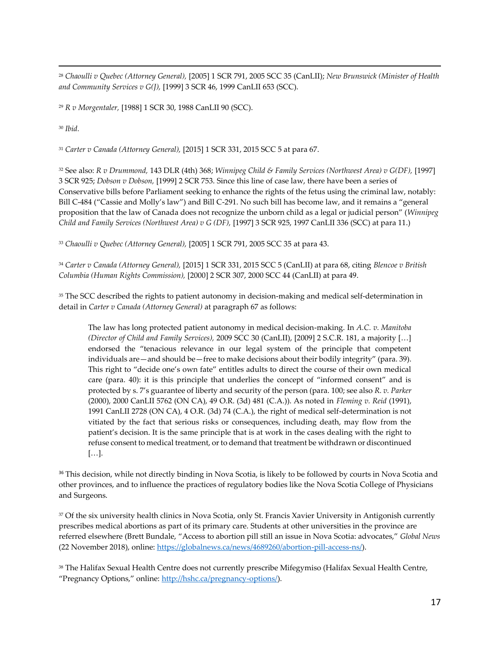<sup>28</sup> *Chaoulli v Quebec (Attorney General),* [2005] 1 SCR 791, 2005 SCC 35 (CanLII); *New Brunswick (Minister of Health and Community Services v G(J),* [1999] 3 SCR 46, 1999 CanLII 653 (SCC).

<sup>29</sup> *R v Morgentaler,* [1988] 1 SCR 30, 1988 CanLII 90 (SCC).

<sup>30</sup> *Ibid.*

 $\overline{a}$ 

<sup>31</sup> *Carter v Canada (Attorney General),* [2015] 1 SCR 331, 2015 SCC 5 at para 67.

<sup>32</sup> See also: *R v Drummond,* 143 DLR (4th) 368; *Winnipeg Child & Family Services (Northwest Area) v G(DF),* [1997] 3 SCR 925; *Dobson v Dobson,* [1999] 2 SCR 753. Since this line of case law, there have been a series of Conservative bills before Parliament seeking to enhance the rights of the fetus using the criminal law, notably: Bill C-484 ("Cassie and Molly's law") and Bill C-291. No such bill has become law, and it remains a "general proposition that the law of Canada does not recognize the unborn child as a legal or judicial person" (*Winnipeg Child and Family Services (Northwest Area) v G (DF),* [1997] 3 SCR 925, 1997 CanLII 336 (SCC) at para 11.)

<sup>33</sup> *Chaoulli v Quebec (Attorney General),* [2005] 1 SCR 791, 2005 SCC 35 at para 43.

<sup>34</sup> *Carter v Canada (Attorney General),* [2015] 1 SCR 331, 2015 SCC 5 (CanLII) at para 68, citing *Blencoe v British Columbia (Human Rights Commission),* [2000] 2 SCR 307, 2000 SCC 44 (CanLII) at para 49.

<sup>35</sup> The SCC described the rights to patient autonomy in decision-making and medical self-determination in detail in *Carter v Canada (Attorney General)* at paragraph 67 as follows:

The law has long protected patient autonomy in medical decision-making. In *A.C. v. Manitoba (Director of Child and Family Services),* 2009 SCC 30 (CanLII), [2009] 2 S.C.R. 181, a majority […] endorsed the "tenacious relevance in our legal system of the principle that competent individuals are—and should be—free to make decisions about their bodily integrity" (para. 39). This right to "decide one's own fate" entitles adults to direct the course of their own medical care (para. 40): it is this principle that underlies the concept of "informed consent" and is protected by s. 7's guarantee of liberty and security of the person (para. 100; see also *R. v. Parker*  (2000), 2000 CanLII 5762 (ON CA), 49 O.R. (3d) 481 (C.A.)). As noted in *Fleming v. Reid* (1991), 1991 CanLII 2728 (ON CA), 4 O.R. (3d) 74 (C.A.), the right of medical self-determination is not vitiated by the fact that serious risks or consequences, including death, may flow from the patient's decision. It is the same principle that is at work in the cases dealing with the right to refuse consent to medical treatment, or to demand that treatment be withdrawn or discontinued […].

<sup>36</sup> This decision, while not directly binding in Nova Scotia, is likely to be followed by courts in Nova Scotia and other provinces, and to influence the practices of regulatory bodies like the Nova Scotia College of Physicians and Surgeons.

<sup>37</sup> Of the six university health clinics in Nova Scotia, only St. Francis Xavier University in Antigonish currently prescribes medical abortions as part of its primary care. Students at other universities in the province are referred elsewhere (Brett Bundale, "Access to abortion pill still an issue in Nova Scotia: advocates," *Global News* (22 November 2018), online: [https://globalnews.ca/news/4689260/abortion-pill-access-ns/\)](https://globalnews.ca/news/4689260/abortion-pill-access-ns/).

<sup>38</sup> The Halifax Sexual Health Centre does not currently prescribe Mifegymiso (Halifax Sexual Health Centre, "Pregnancy Options," online: [http://hshc.ca/pregnancy-options/\)](http://hshc.ca/pregnancy-options/).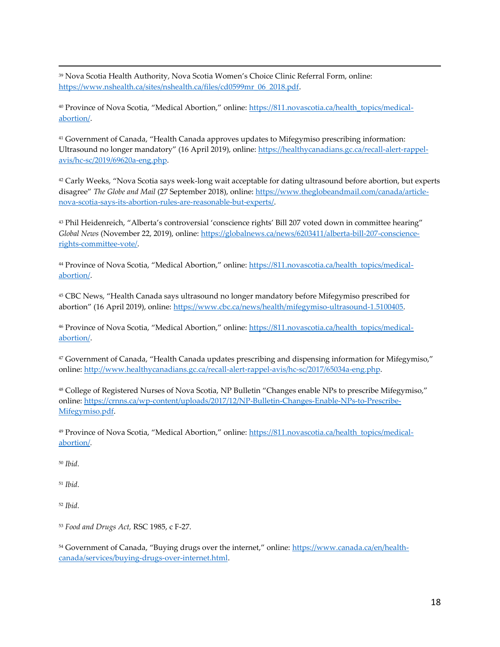<sup>39</sup> Nova Scotia Health Authority, Nova Scotia Women's Choice Clinic Referral Form, online: [https://www.nshealth.ca/sites/nshealth.ca/files/cd0599mr\\_06\\_2018.pdf.](https://www.nshealth.ca/sites/nshealth.ca/files/cd0599mr_06_2018.pdf) 

<sup>40</sup> Province of Nova Scotia, "Medical Abortion," online: [https://811.novascotia.ca/health\\_topics/medical](https://811.novascotia.ca/health_topics/medical-abortion/)[abortion/.](https://811.novascotia.ca/health_topics/medical-abortion/)

<sup>41</sup> Government of Canada, "Health Canada approves updates to Mifegymiso prescribing information: Ultrasound no longer mandatory" (16 April 2019), online: [https://healthycanadians.gc.ca/recall-alert-rappel](https://healthycanadians.gc.ca/recall-alert-rappel-avis/hc-sc/2019/69620a-eng.php)[avis/hc-sc/2019/69620a-eng.php.](https://healthycanadians.gc.ca/recall-alert-rappel-avis/hc-sc/2019/69620a-eng.php) 

<sup>42</sup> Carly Weeks, "Nova Scotia says week-long wait acceptable for dating ultrasound before abortion, but experts disagree" *The Globe and Mail* (27 September 2018), online: [https://www.theglobeandmail.com/canada/article](https://www.theglobeandmail.com/canada/article-nova-scotia-says-its-abortion-rules-are-reasonable-but-experts/)[nova-scotia-says-its-abortion-rules-are-reasonable-but-experts/.](https://www.theglobeandmail.com/canada/article-nova-scotia-says-its-abortion-rules-are-reasonable-but-experts/) 

<sup>43</sup> Phil Heidenreich, "Alberta's controversial 'conscience rights' Bill 207 voted down in committee hearing" *Global News* (November 22, 2019), online: [https://globalnews.ca/news/6203411/alberta-bill-207-conscience](https://globalnews.ca/news/6203411/alberta-bill-207-conscience-rights-committee-vote/)[rights-committee-vote/.](https://globalnews.ca/news/6203411/alberta-bill-207-conscience-rights-committee-vote/)

<sup>44</sup> Province of Nova Scotia, "Medical Abortion," online: [https://811.novascotia.ca/health\\_topics/medical](https://811.novascotia.ca/health_topics/medical-abortion/)[abortion/.](https://811.novascotia.ca/health_topics/medical-abortion/) 

<sup>45</sup> CBC News, "Health Canada says ultrasound no longer mandatory before Mifegymiso prescribed for abortion" (16 April 2019), online: [https://www.cbc.ca/news/health/mifegymiso-ultrasound-1.5100405.](https://www.cbc.ca/news/health/mifegymiso-ultrasound-1.5100405)

<sup>46</sup> Province of Nova Scotia, "Medical Abortion," online: [https://811.novascotia.ca/health\\_topics/medical](https://811.novascotia.ca/health_topics/medical-abortion/)[abortion/.](https://811.novascotia.ca/health_topics/medical-abortion/)

<sup>47</sup> Government of Canada, "Health Canada updates prescribing and dispensing information for Mifegymiso," online: [http://www.healthycanadians.gc.ca/recall-alert-rappel-avis/hc-sc/2017/65034a-eng.php.](http://www.healthycanadians.gc.ca/recall-alert-rappel-avis/hc-sc/2017/65034a-eng.php)

<sup>48</sup> College of Registered Nurses of Nova Scotia, NP Bulletin "Changes enable NPs to prescribe Mifegymiso," online: [https://crnns.ca/wp-content/uploads/2017/12/NP-Bulletin-Changes-Enable-NPs-to-Prescribe-](https://crnns.ca/wp-content/uploads/2017/12/NP-Bulletin-Changes-Enable-NPs-to-Prescribe-Mifegymiso.pdf)[Mifegymiso.pdf.](https://crnns.ca/wp-content/uploads/2017/12/NP-Bulletin-Changes-Enable-NPs-to-Prescribe-Mifegymiso.pdf)

<sup>49</sup> Province of Nova Scotia, "Medical Abortion," online: [https://811.novascotia.ca/health\\_topics/medical](https://811.novascotia.ca/health_topics/medical-abortion/)[abortion/](https://811.novascotia.ca/health_topics/medical-abortion/)*.*

<sup>50</sup> *Ibid.*

 $\overline{a}$ 

<sup>51</sup> *Ibid.*

<sup>52</sup> *Ibid.* 

<sup>53</sup> *Food and Drugs Act,* RSC 1985, c F-27.

54 Government of Canada, "Buying drugs over the internet," online: [https://www.canada.ca/en/health](https://www.canada.ca/en/health-canada/services/buying-drugs-over-internet.html)[canada/services/buying-drugs-over-internet.html.](https://www.canada.ca/en/health-canada/services/buying-drugs-over-internet.html)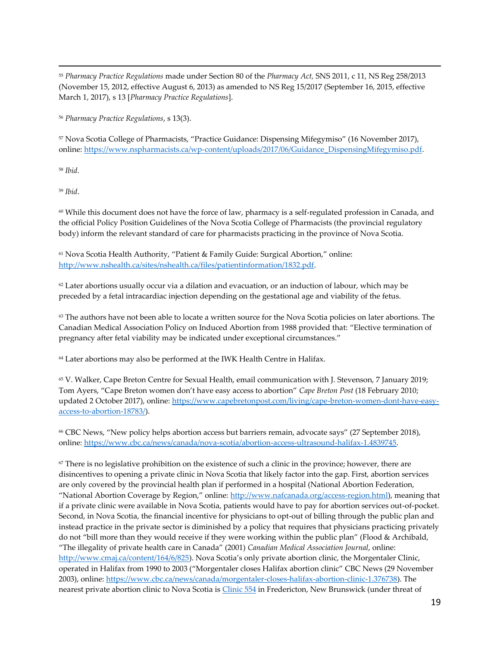<sup>55</sup> *Pharmacy Practice Regulations* made under Section 80 of the *Pharmacy Act,* SNS 2011, c 11, NS Reg 258/2013 (November 15, 2012, effective August 6, 2013) as amended to NS Reg 15/2017 (September 16, 2015, effective March 1, 2017), s 13 [*Pharmacy Practice Regulations*].

<sup>56</sup> *Pharmacy Practice Regulations*, s 13(3).

<sup>57</sup> Nova Scotia College of Pharmacists, "Practice Guidance: Dispensing Mifegymiso" (16 November 2017), online: [https://www.nspharmacists.ca/wp-content/uploads/2017/06/Guidance\\_DispensingMifegymiso.pdf.](https://www.nspharmacists.ca/wp-content/uploads/2017/06/Guidance_DispensingMifegymiso.pdf)

<sup>58</sup> *Ibid.* 

 $\overline{a}$ 

<sup>59</sup> *Ibid*.

 $60$  While this document does not have the force of law, pharmacy is a self-regulated profession in Canada, and the official Policy Position Guidelines of the Nova Scotia College of Pharmacists (the provincial regulatory body) inform the relevant standard of care for pharmacists practicing in the province of Nova Scotia.

<sup>61</sup> Nova Scotia Health Authority, "Patient & Family Guide: Surgical Abortion," online: [http://www.nshealth.ca/sites/nshealth.ca/files/patientinformation/1832.pdf.](http://www.nshealth.ca/sites/nshealth.ca/files/patientinformation/1832.pdf)

 $62$  Later abortions usually occur via a dilation and evacuation, or an induction of labour, which may be preceded by a fetal intracardiac injection depending on the gestational age and viability of the fetus.

 $63$  The authors have not been able to locate a written source for the Nova Scotia policies on later abortions. The Canadian Medical Association Policy on Induced Abortion from 1988 provided that: "Elective termination of pregnancy after fetal viability may be indicated under exceptional circumstances."

<sup>64</sup> Later abortions may also be performed at the IWK Health Centre in Halifax.

<sup>65</sup> V. Walker, Cape Breton Centre for Sexual Health, email communication with J. Stevenson, 7 January 2019; Tom Ayers, "Cape Breton women don't have easy access to abortion" *Cape Breton Post* (18 February 2010; updated 2 October 2017), online: [https://www.capebretonpost.com/living/cape-breton-women-dont-have-easy](https://www.capebretonpost.com/living/cape-breton-women-dont-have-easy-access-to-abortion-18783/)[access-to-abortion-18783/\)](https://www.capebretonpost.com/living/cape-breton-women-dont-have-easy-access-to-abortion-18783/).

<sup>66</sup> CBC News, "New policy helps abortion access but barriers remain, advocate says" (27 September 2018), online: [https://www.cbc.ca/news/canada/nova-scotia/abortion-access-ultrasound-halifax-1.4839745.](https://www.cbc.ca/news/canada/nova-scotia/abortion-access-ultrasound-halifax-1.4839745)

 $67$  There is no legislative prohibition on the existence of such a clinic in the province; however, there are disincentives to opening a private clinic in Nova Scotia that likely factor into the gap. First, abortion services are only covered by the provincial health plan if performed in a hospital (National Abortion Federation, "National Abortion Coverage by Region," online: [http://www.nafcanada.org/access-region.html\)](http://www.nafcanada.org/access-region.html), meaning that if a private clinic were available in Nova Scotia, patients would have to pay for abortion services out-of-pocket. Second, in Nova Scotia, the financial incentive for physicians to opt-out of billing through the public plan and instead practice in the private sector is diminished by a policy that requires that physicians practicing privately do not "bill more than they would receive if they were working within the public plan" (Flood & Archibald, "The illegality of private health care in Canada" (2001) *Canadian Medical Association Journal*, online: <http://www.cmaj.ca/content/164/6/825>). Nova Scotia's only private abortion clinic, the Morgentaler Clinic, operated in Halifax from 1990 to 2003 ("Morgentaler closes Halifax abortion clinic" CBC News (29 November 2003), online: [https://www.cbc.ca/news/canada/morgentaler-closes-halifax-abortion-clinic-1.376738\)](https://www.cbc.ca/news/canada/morgentaler-closes-halifax-abortion-clinic-1.376738). The nearest private abortion clinic to Nova Scotia is [Clinic 554](http://www.clinic554.ca/reproductivehealth.html) in Fredericton, New Brunswick (under threat of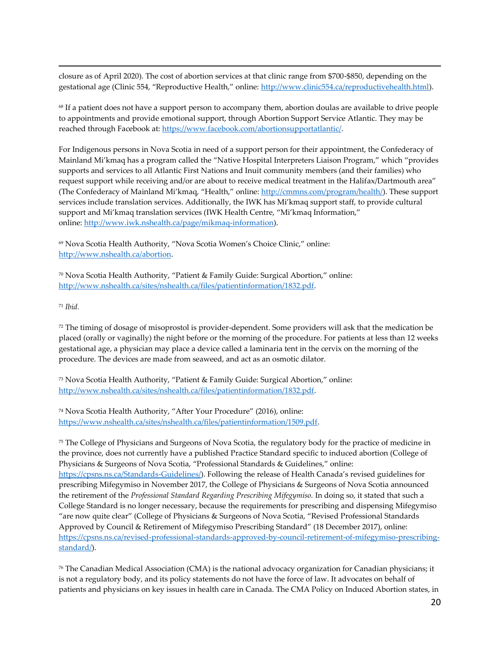closure as of April 2020). The cost of abortion services at that clinic range from \$700-\$850, depending on the gestational age (Clinic 554, "Reproductive Health," online: [http://www.clinic554.ca/reproductivehealth.html\)](http://www.clinic554.ca/reproductivehealth.html).

<sup>68</sup> If a patient does not have a support person to accompany them, abortion doulas are available to drive people to appointments and provide emotional support, through Abortion Support Service Atlantic. They may be reached through Facebook at[: https://www.facebook.com/abortionsupportatlantic/.](https://www.facebook.com/abortionsupportatlantic/)

For Indigenous persons in Nova Scotia in need of a support person for their appointment, the Confederacy of Mainland Mi'kmaq has a program called the "Native Hospital Interpreters Liaison Program," which "provides supports and services to all Atlantic First Nations and Inuit community members (and their families) who request support while receiving and/or are about to receive medical treatment in the Halifax/Dartmouth area" (The Confederacy of Mainland Mi'kmaq, "Health," online: [http://cmmns.com/program/health/\)](http://cmmns.com/program/health/). These support services include translation services. Additionally, the IWK has Mi'kmaq support staff, to provide cultural support and Mi'kmaq translation services (IWK Health Centre, "Mi'kmaq Information," online: [http://www.iwk.nshealth.ca/page/mikmaq-information\)](http://www.iwk.nshealth.ca/page/mikmaq-information).

<sup>69</sup> Nova Scotia Health Authority, "Nova Scotia Women's Choice Clinic," online: [http://www.nshealth.ca/abortion.](http://www.nshealth.ca/abortion)

<sup>70</sup> Nova Scotia Health Authority, "Patient & Family Guide: Surgical Abortion," online: [http://www.nshealth.ca/sites/nshealth.ca/files/patientinformation/1832.pdf.](http://www.nshealth.ca/sites/nshealth.ca/files/patientinformation/1832.pdf)

<sup>71</sup> *Ibid.* 

 $\overline{a}$ 

 $72$  The timing of dosage of misoprostol is provider-dependent. Some providers will ask that the medication be placed (orally or vaginally) the night before or the morning of the procedure. For patients at less than 12 weeks gestational age, a physician may place a device called a laminaria tent in the cervix on the morning of the procedure. The devices are made from seaweed, and act as an osmotic dilator.

<sup>73</sup> Nova Scotia Health Authority, "Patient & Family Guide: Surgical Abortion," online: [http://www.nshealth.ca/sites/nshealth.ca/files/patientinformation/1832.pdf.](http://www.nshealth.ca/sites/nshealth.ca/files/patientinformation/1832.pdf)

<sup>74</sup> Nova Scotia Health Authority, "After Your Procedure" (2016), online: [https://www.nshealth.ca/sites/nshealth.ca/files/patientinformation/1509.pdf.](https://www.nshealth.ca/sites/nshealth.ca/files/patientinformation/1509.pdf)

<sup>75</sup> The College of Physicians and Surgeons of Nova Scotia, the regulatory body for the practice of medicine in the province, does not currently have a published Practice Standard specific to induced abortion (College of Physicians & Surgeons of Nova Scotia, "Professional Standards & Guidelines," online: <https://cpsns.ns.ca/Standards-Guidelines/>). Following the release of Health Canada's revised guidelines for prescribing Mifegymiso in November 2017, the College of Physicians & Surgeons of Nova Scotia announced the retirement of the *Professional Standard Regarding Prescribing Mifegymiso.* In doing so, it stated that such a College Standard is no longer necessary, because the requirements for prescribing and dispensing Mifegymiso "are now quite clear" (College of Physicians & Surgeons of Nova Scotia, "Revised Professional Standards Approved by Council & Retirement of Mifegymiso Prescribing Standard" (18 December 2017), online: [https://cpsns.ns.ca/revised-professional-standards-approved-by-council-retirement-of-mifegymiso-prescribing](https://cpsns.ns.ca/revised-professional-standards-approved-by-council-retirement-of-mifegymiso-prescribing-standard/)[standard/\)](https://cpsns.ns.ca/revised-professional-standards-approved-by-council-retirement-of-mifegymiso-prescribing-standard/).

<sup>76</sup> The Canadian Medical Association (CMA) is the national advocacy organization for Canadian physicians; it is not a regulatory body, and its policy statements do not have the force of law. It advocates on behalf of patients and physicians on key issues in health care in Canada. The CMA Policy on Induced Abortion states, in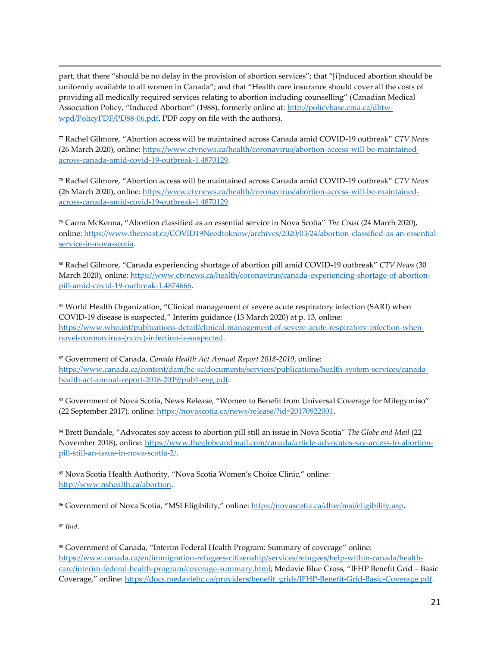part, that there "should be no delay in the provision of abortion services"; that "[i]nduced abortion should be uniformly available to all women in Canada"; and that "Health care insurance should cover all the costs of providing all medically required services relating to abortion including counselling" (Canadian Medical Association Policy, "Induced Abortion" (1988), formerly online at: [http://policybase.cma.ca/dbtw](http://policybase.cma.ca/dbtw-wpd/PolicyPDF/PD88-06.pdf)[wpd/PolicyPDF/PD88-06.pdf.](http://policybase.cma.ca/dbtw-wpd/PolicyPDF/PD88-06.pdf) PDF copy on file with the authors).

<sup>77</sup> Rachel Gilmore, "Abortion access will be maintained across Canada amid COVID-19 outbreak" *CTV News* (26 March 2020), online[: https://www.ctvnews.ca/health/coronavirus/abortion-access-will-be-maintained](https://www.ctvnews.ca/health/coronavirus/abortion-access-will-be-maintained-across-canada-amid-covid-19-outbreak-1.4870129)[across-canada-amid-covid-19-outbreak-1.4870129.](https://www.ctvnews.ca/health/coronavirus/abortion-access-will-be-maintained-across-canada-amid-covid-19-outbreak-1.4870129) 

<sup>78</sup> Rachel Gilmore, "Abortion access will be maintained across Canada amid COVID-19 outbreak" *CTV News* (26 March 2020), online[: https://www.ctvnews.ca/health/coronavirus/abortion-access-will-be-maintained](https://www.ctvnews.ca/health/coronavirus/abortion-access-will-be-maintained-across-canada-amid-covid-19-outbreak-1.4870129)[across-canada-amid-covid-19-outbreak-1.4870129.](https://www.ctvnews.ca/health/coronavirus/abortion-access-will-be-maintained-across-canada-amid-covid-19-outbreak-1.4870129) 

<sup>79</sup> Caora McKenna, "Abortion classified as an essential service in Nova Scotia" *The Coast* (24 March 2020), online: [https://www.thecoast.ca/COVID19Needtoknow/archives/2020/03/24/abortion-classified-as-an-essential](https://www.thecoast.ca/COVID19Needtoknow/archives/2020/03/24/abortion-classified-as-an-essential-service-in-nova-scotia)[service-in-nova-scotia.](https://www.thecoast.ca/COVID19Needtoknow/archives/2020/03/24/abortion-classified-as-an-essential-service-in-nova-scotia)

<sup>80</sup> Rachel Gilmore, "Canada experiencing shortage of abortion pill amid COVID-19 outbreak" *CTV News* (30 March 2020), online[: https://www.ctvnews.ca/health/coronavirus/canada-experiencing-shortage-of-abortion](https://www.ctvnews.ca/health/coronavirus/canada-experiencing-shortage-of-abortion-pill-amid-covid-19-outbreak-1.4874666)[pill-amid-covid-19-outbreak-1.4874666.](https://www.ctvnews.ca/health/coronavirus/canada-experiencing-shortage-of-abortion-pill-amid-covid-19-outbreak-1.4874666) 

<sup>81</sup> World Health Organization, "Clinical management of severe acute respiratory infection (SARI) when COVID-19 disease is suspected," Interim guidance (13 March 2020) at p. 13, online: [https://www.who.int/publications-detail/clinical-management-of-severe-acute-respiratory-infection-when](https://www.who.int/publications-detail/clinical-management-of-severe-acute-respiratory-infection-when-novel-coronavirus-(ncov)-infection-is-suspected)[novel-coronavirus-\(ncov\)-infection-is-suspected.](https://www.who.int/publications-detail/clinical-management-of-severe-acute-respiratory-infection-when-novel-coronavirus-(ncov)-infection-is-suspected)

<sup>82</sup> Government of Canada, *Canada Health Act Annual Report 2018-2019*, online: [https://www.canada.ca/content/dam/hc-sc/documents/services/publications/health-system-services/canada](https://www.canada.ca/content/dam/hc-sc/documents/services/publications/health-system-services/canada-health-act-annual-report-2018-2019/pub1-eng.pdf)[health-act-annual-report-2018-2019/pub1-eng.pdf.](https://www.canada.ca/content/dam/hc-sc/documents/services/publications/health-system-services/canada-health-act-annual-report-2018-2019/pub1-eng.pdf)

83 Government of Nova Scotia, News Release, "Women to Benefit from Universal Coverage for Mifegymiso" (22 September 2017), online: [https://novascotia.ca/news/release/?id=20170922001.](https://novascotia.ca/news/release/?id=20170922001)

<sup>84</sup> Brett Bundale, "Advocates say access to abortion pill still an issue in Nova Scotia" *The Globe and Mail* (22 November 2018), online: [https://www.theglobeandmail.com/canada/article-advocates-say-access-to-abortion](https://www.theglobeandmail.com/canada/article-advocates-say-access-to-abortion-pill-still-an-issue-in-nova-scotia-2/)[pill-still-an-issue-in-nova-scotia-2/.](https://www.theglobeandmail.com/canada/article-advocates-say-access-to-abortion-pill-still-an-issue-in-nova-scotia-2/)

<sup>85</sup> Nova Scotia Health Authority, "Nova Scotia Women's Choice Clinic," online: [http://www.nshealth.ca/abortion.](http://www.nshealth.ca/abortion)

86 Government of Nova Scotia, "MSI Eligibility," online: https://novascotia.ca/dhw/msi/eligibility.asp.

<sup>87</sup> *Ibid.* 

 $\overline{a}$ 

<sup>88</sup> Government of Canada, "Interim Federal Health Program: Summary of coverage" online: [https://www.canada.ca/en/immigration-refugees-citizenship/services/refugees/help-within-canada/health](https://www.canada.ca/en/immigration-refugees-citizenship/services/refugees/help-within-canada/health-care/interim-federal-health-program/coverage-summary.html)[care/interim-federal-health-program/coverage-summary.html](https://www.canada.ca/en/immigration-refugees-citizenship/services/refugees/help-within-canada/health-care/interim-federal-health-program/coverage-summary.html); Medavie Blue Cross, "IFHP Benefit Grid – Basic Coverage," online: [https://docs.medaviebc.ca/providers/benefit\\_grids/IFHP-Benefit-Grid-Basic-Coverage.pdf.](https://docs.medaviebc.ca/providers/benefit_grids/IFHP-Benefit-Grid-Basic-Coverage.pdf)